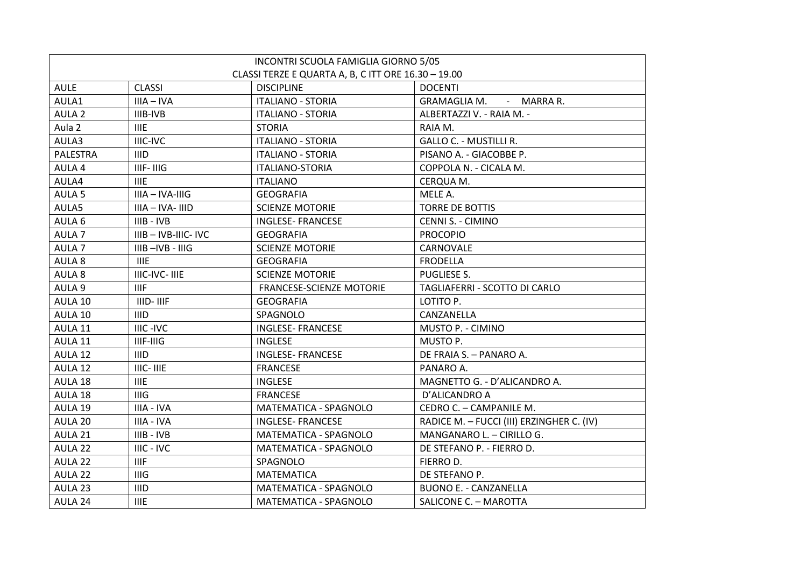| INCONTRI SCUOLA FAMIGLIA GIORNO 5/05                |                      |                          |                                           |  |  |
|-----------------------------------------------------|----------------------|--------------------------|-------------------------------------------|--|--|
| CLASSI TERZE E QUARTA A, B, C ITT ORE 16.30 - 19.00 |                      |                          |                                           |  |  |
| <b>AULE</b>                                         | <b>CLASSI</b>        | <b>DISCIPLINE</b>        | <b>DOCENTI</b>                            |  |  |
| AULA1                                               | $IIIA - IVA$         | <b>ITALIANO - STORIA</b> | GRAMAGLIA M. - MARRA R.                   |  |  |
| AULA <sub>2</sub>                                   | IIIB-IVB             | <b>ITALIANO - STORIA</b> | ALBERTAZZI V. - RAIA M. -                 |  |  |
| Aula <sub>2</sub>                                   | <b>IIIE</b>          | <b>STORIA</b>            | RAIA M.                                   |  |  |
| AULA3                                               | IIIC-IVC             | <b>ITALIANO - STORIA</b> | <b>GALLO C. - MUSTILLI R.</b>             |  |  |
| PALESTRA                                            | <b>IIID</b>          | <b>ITALIANO - STORIA</b> | PISANO A. - GIACOBBE P.                   |  |  |
| AULA 4                                              | IIIF-IIIG            | <b>ITALIANO-STORIA</b>   | COPPOLA N. - CICALA M.                    |  |  |
| AULA4                                               | <b>IIIE</b>          | <b>ITALIANO</b>          | CERQUA M.                                 |  |  |
| AULA <sub>5</sub>                                   | IIIA - IVA-IIIG      | <b>GEOGRAFIA</b>         | MELE A.                                   |  |  |
| AULA5                                               | IIIA - IVA- IIID     | <b>SCIENZE MOTORIE</b>   | TORRE DE BOTTIS                           |  |  |
| AULA 6                                              | $IIIB - IVB$         | <b>INGLESE- FRANCESE</b> | <b>CENNI S. - CIMINO</b>                  |  |  |
| AULA <sub>7</sub>                                   | IIIB-IVB-IIIC-IVC    | <b>GEOGRAFIA</b>         | <b>PROCOPIO</b>                           |  |  |
| AULA <sub>7</sub>                                   | IIIB-IVB-IIIG        | <b>SCIENZE MOTORIE</b>   | CARNOVALE                                 |  |  |
| AULA 8                                              | <b>IIIE</b>          | <b>GEOGRAFIA</b>         | <b>FRODELLA</b>                           |  |  |
| AULA 8                                              | <b>IIIC-IVC-IIIE</b> | <b>SCIENZE MOTORIE</b>   | PUGLIESE S.                               |  |  |
| AULA 9                                              | <b>IIIF</b>          | FRANCESE-SCIENZE MOTORIE | TAGLIAFERRI - SCOTTO DI CARLO             |  |  |
| AULA 10                                             | IIID-IIIF            | <b>GEOGRAFIA</b>         | LOTITO P.                                 |  |  |
| AULA 10                                             | <b>IIID</b>          | SPAGNOLO                 | CANZANELLA                                |  |  |
| AULA 11                                             | IIIC-IVC             | <b>INGLESE- FRANCESE</b> | MUSTO P. - CIMINO                         |  |  |
| AULA 11                                             | IIIF-IIIG            | <b>INGLESE</b>           | MUSTO P.                                  |  |  |
| AULA 12                                             | <b>IIID</b>          | <b>INGLESE- FRANCESE</b> | DE FRAIA S. - PANARO A.                   |  |  |
| AULA 12                                             | IIIC- IIIE           | <b>FRANCESE</b>          | PANARO A.                                 |  |  |
| AULA 18                                             | <b>IIIE</b>          | <b>INGLESE</b>           | MAGNETTO G. - D'ALICANDRO A.              |  |  |
| AULA 18                                             | <b>IIIG</b>          | <b>FRANCESE</b>          | D'ALICANDRO A                             |  |  |
| AULA 19                                             | IIIA - IVA           | MATEMATICA - SPAGNOLO    | CEDRO C. - CAMPANILE M.                   |  |  |
| AULA 20                                             | IIIA - IVA           | <b>INGLESE- FRANCESE</b> | RADICE M. - FUCCI (III) ERZINGHER C. (IV) |  |  |
| AULA 21                                             | $IIB - IVB$          | MATEMATICA - SPAGNOLO    | MANGANARO L. - CIRILLO G.                 |  |  |
| AULA 22                                             | IIIC - IVC           | MATEMATICA - SPAGNOLO    | DE STEFANO P. - FIERRO D.                 |  |  |
| AULA 22                                             | <b>IIIF</b>          | SPAGNOLO                 | FIERRO D.                                 |  |  |
| AULA 22                                             | <b>IIIG</b>          | <b>MATEMATICA</b>        | DE STEFANO P.                             |  |  |
| AULA 23                                             | <b>IIID</b>          | MATEMATICA - SPAGNOLO    | <b>BUONO E. - CANZANELLA</b>              |  |  |
| AULA 24                                             | <b>IIIE</b>          | MATEMATICA - SPAGNOLO    | SALICONE C. - MAROTTA                     |  |  |